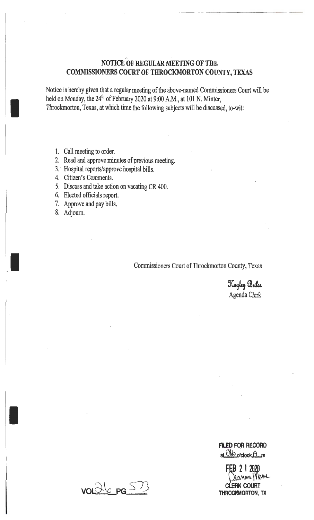# . **NOTICE OF REGULAR MEETING OF THE COMMISSIONERS COURT OF THROCKMORTON COUNTY, TEXAS**

Notice is hereby given that a regular meeting of the above-named Commissioners Court will be held on Monday, the 24<sup>th</sup> of February 2020 at 9:00 A.M., at 101 N. Minter, Throckmorton, Texas, at which time the following subjects will be discussed, to-wit:

- 1. Call meeting to order.
- 2. Read and approve minutes of previous meeting.
- 3. Hospital reports/approve hospital bills.
- 4. Citizen's Comments.
- 5. Discuss and take action on vacating CR 400.
- 6. Elected officials report.
- 7. Approve and pay bills.
- 8. Adjourn.

I

I

I

Commissioners Court of Throckmorton County, Texas

Kayley Briles Agenda Clerk

**FILED FOR RECORD** at <sup>Obio</sup> p'clock A.m

FEB 2 1 2020 **CLERK COURT THROCKMORTON, TX** 

 $voldb$  pg  $S73$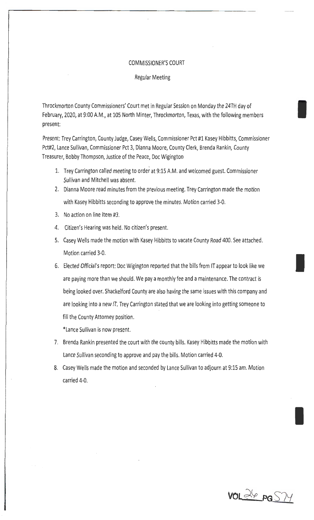#### COMMISSIONER'S COURT

Regular Meeting

Throckmorton County Commissioners' Court met in Regular Session on Monday the 24TH day of February, 2020, at 9:00 A.M., at 105 North Minter, Throckmorton, Texas, with the following members present:

Present: Trey Carrington, County Judge, Casey Wells, Commissioner Pct #1 Kasey Hibbitts, Commissioner Pct#2, Lance Sullivan, Commissioner Pct 3, Dianna Moore, County Clerk, Brenda Rankin, County Treasurer, Bobby Thompson, Justice of the Peace, Doc Wigington

- 1. Trey Carrington called meeting to order at 9:15 A.M. and welcomed guest. Commissioner Sullivan and Mitchell was absent.
- 2. Dianna Moore read minutes from the previous meeting. Trey Carrington made the motion with Kasey Hibbitts seconding to approve the minutes. Motion carried 3-0.
- 3. No action on line item #3.
- 4. Citizen's Hearing was held. No citizen's present.
- 5. Casey Wells made the motion with Kasey Hibbitts to vacate County Road 400. See attached. Motion carried 3-0.
- 6. Elected Official's report: Doc Wigington reported that the bills from IT appear to look like we are paying more than we should. We pay a monthly fee and a maintenance. The contract is being looked over. Shackelford County are also having the same issues with this company and are looking into a new IT. Trey Carrington stated that we are looking into getting someone to fill the County Attorney position.

\*Lance Sullivan is now present.

- 7. Brenda Rankin presented the court with the county bills. Kasey Hibbitts made the motion with Lance Sullivan seconding to approve and pay the bills. Motion carried 4-0.
- 8. Casey Wells made the motion and seconded by Lance Sullivan to adjourn at 9:15 am. Motion carried 4-0.

**VOL** ~(p **PG** S7Y

I

I

I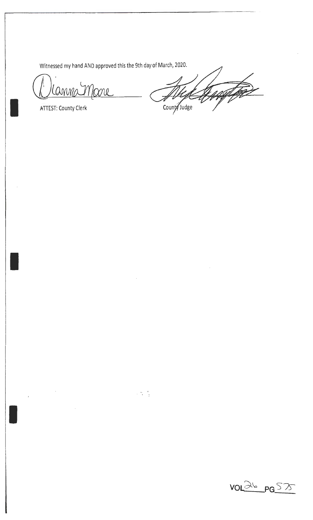Witnessed my hand AND approved this the 9th day of March, 2020.

 $\sim 5-5$ 

1 Canna Moore

I

I

 $\bar{\beta}$ 

Haqtar County Judge

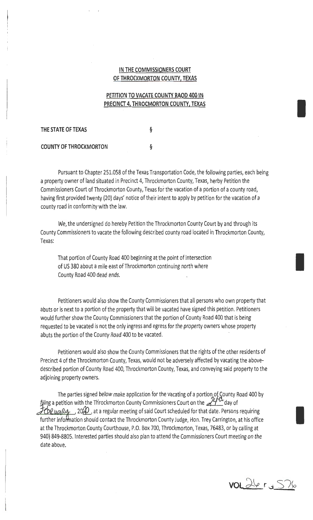### IN **THE COMMISSIONERS COURT OF THROCKMORTON COUNTY, TEXAS**

## **PETITION TO VACATE COUNTY RAOD 400 IN PRECINCT 4, THROCMORTON COUNTY, TEXAS**

**THE STATE OF TEXAS** 

§

**COUNTY OF THROCKMORTON** §

Pursuant to Chapter 251.058 of the Texas Transportation Code, the following parties, each being a property owner of land situated in Precinct 4, Throckmorton County, Texas, herby Petition the Commissioners Court of Throckmorton County, Texas for the vacation of a portion of a county road, having first provided twenty (20) days' notice of their intent to apply by petition for the vacation of a county road in conformity with the law.

We, the undersigned do hereby Petition the Throckmorton County Court by and through its County Commissioners to vacate the following described county road located in Throckmorton County, Texas:

That portion of County Road 400 beginning at the point of intersection of US 380 about a mile east of Throckmorton continuing north where County Road 400 dead ends.

Petitioners would also show the County Commissioners that all persons who own property that abuts or is next to a portion of the property that will be vacated have signed this petition. Petitioners would further show the County Commissioners that the portion of County Road 400 that is being requested to be vacated is not the only ingress and egress for the property owners whose property abuts the portion of the County Road 400 to be vacated.

Petitioners would also show the County Commissioners that the rights of the other residents of Precinct 4 of the Throckmorton County, Texas, would not be adversely affected by vacating the abovedescribed portion of County Road 400, Throckmorton County, Texas, and conveying said property to the adjoining property owners.

The parties signed below make application for the vacating of a portion of County Road 400 by filing a petition with the Throckmorton County Commissioners Court on the  $\mathcal{H}^{\alpha}$  day of  $\mathcal{F}$ cualus 10%, at a regular meeting of said Court scheduled for that date. Persons requiring further information should contact the Throckmorton County Judge, Hon. Trey Carrington, at his office at the Throckmorton County Courthouse, P.O. Box 700, Throckmorton, Texas, 76483, or by calling at 940) 849-8805. Interested parties should also plan to attend the Commissioners Court meeting on the date above.

VOL 26 r a S76

I

I

I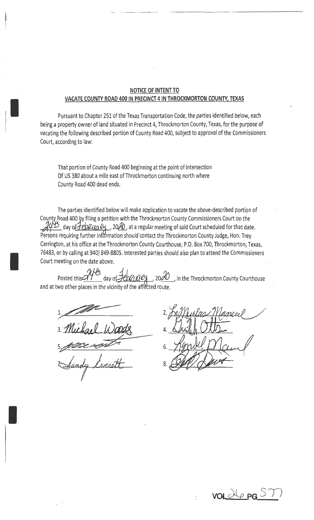### **NOTICE OF INTENT TO VACATE COUNTY ROAD 400 IN PRECINCT 4 IN THROCKMORTON COUNTY, TEXAS**

Pursuant to Chapter 251 of the Texas Transportation Code, the parties identified below, each being a property owner of land situated in Precinct 4, Throckmorton County, Texas, for the purpose of vacating the following described portion of County Road 400, subject to approval of the Commissioners Court, according to law:

That portion of County Road 400 beginning at the point of intersection Of US 380 about a mile east of Throckmorton continuing north where County Road 400 dead ends.

The parties identified below will make application to vacate the above-described portion of County Road 400 by filing a petition with the Throckmorton County Commissioners Court on the  $\mathcal{U}^{\#}$  day of *LepRua*  $e_{\perp}$ *, 20* $\mathcal{A}0$ , at a regular meeting of said Court scheduled for that date. Persons requiring further information should contact the Throckmorton County Judge, Hon. Trey Carrington, at his office at the Throckmorton County Courthouse, P.O. Box 700, Throckmorton, Texas, 76483, or by calling at 940) 849-8805. Interested parties should also plan to attend the Commissioners Court meeting on the date above.

Posted this <sup>172</sup> day of HOULLEY 2000, in the Throckmorton County Courthouse and at two other places in the vicinity of the affected route.

1.~· */*  3. Michael Woods t Sandy Cresett

I

I

I

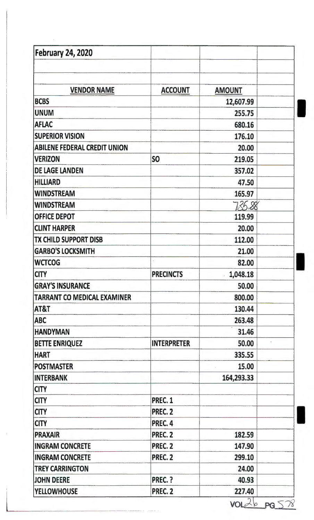| <b>February 24, 2020</b>            |                    |               |  |
|-------------------------------------|--------------------|---------------|--|
|                                     |                    |               |  |
| <b>VENDOR NAME</b>                  | <b>ACCOUNT</b>     | <b>AMOUNT</b> |  |
| <b>BCBS</b>                         |                    | 12,607.99     |  |
| <b>UNUM</b>                         |                    | 255.75        |  |
| <b>AFLAC</b>                        |                    | 680.16        |  |
| <b>SUPERIOR VISION</b>              |                    | 176.10        |  |
| <b>ABILENE FEDERAL CREDIT UNION</b> |                    | 20.00         |  |
| <b>VERIZON</b>                      | S <sub>O</sub>     | 219.05        |  |
| <b>DE LAGE LANDEN</b>               |                    | 357.02        |  |
| <b>HILLIARD</b>                     |                    | 47.50         |  |
| <b>WINDSTREAM</b>                   |                    | 165.97        |  |
| <b>WINDSTREAM</b>                   |                    | 735.88        |  |
| <b>OFFICE DEPOT</b>                 |                    | 119.99        |  |
| <b>CLINT HARPER</b>                 |                    | 20.00         |  |
| TX CHILD SUPPORT DISB               |                    | 112.00        |  |
| <b>GARBO'S LOCKSMITH</b>            |                    | 21.00         |  |
| <b>WCTCOG</b>                       |                    | 82.00         |  |
| <b>CITY</b>                         | <b>PRECINCTS</b>   | 1,048.18      |  |
| <b>GRAY'S INSURANCE</b>             |                    | 50.00         |  |
| TARRANT CO MEDICAL EXAMINER         |                    | 800.00        |  |
| AT&T                                |                    | 130.44        |  |
| <b>ABC</b>                          |                    | 263.48        |  |
| <b>HANDYMAN</b>                     |                    | 31.46         |  |
| <b>BETTE ENRIQUEZ</b>               | <b>INTERPRETER</b> | 50.00         |  |
| <b>HART</b>                         |                    | 335.55        |  |
| <b>POSTMASTER</b>                   |                    | 15.00         |  |
| <b>INTERBANK</b>                    |                    | 164,293.33    |  |
| <b>CITY</b>                         |                    |               |  |
| <b>CITY</b>                         | <b>PREC. 1</b>     |               |  |
| <b>CITY</b>                         | <b>PREC. 2</b>     |               |  |
| <b>CITY</b>                         | PREC. 4            |               |  |
| <b>PRAXAIR</b>                      | PREC. 2            | 182.59        |  |
| <b>INGRAM CONCRETE</b>              | PREC. 2            | 147.90        |  |
| <b>INGRAM CONCRETE</b>              | PREC. 2            | 299.10        |  |
| <b>TREY CARRINGTON</b>              |                    | 24.00         |  |
| <b>JOHN DEERE</b>                   | PREC. ?            | 40.93         |  |
| <b>YELLOWHOUSE</b>                  | PREC. 2            | 227.40        |  |

 $VOLZb$   $PGS78$